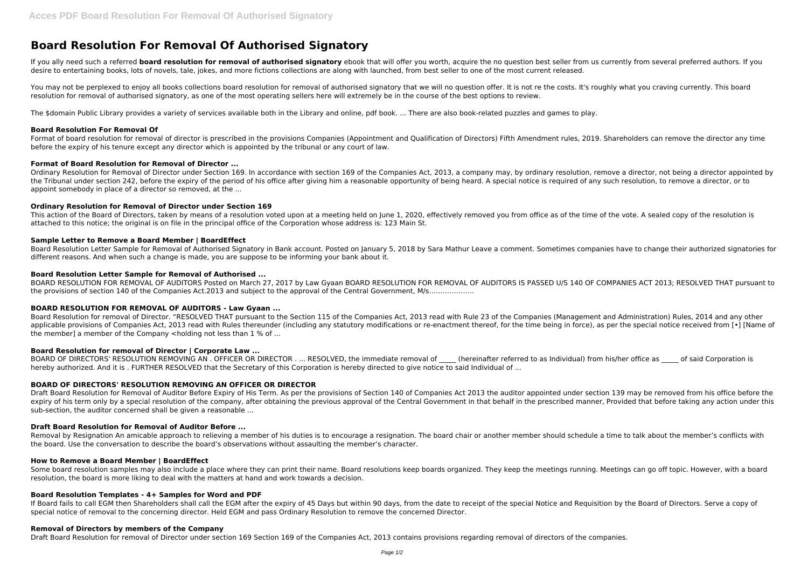# **Board Resolution For Removal Of Authorised Signatory**

If you ally need such a referred **board resolution for removal of authorised signatory** ebook that will offer you worth, acquire the no question best seller from us currently from several preferred authors. If you desire to entertaining books, lots of novels, tale, jokes, and more fictions collections are along with launched, from best seller to one of the most current released.

You may not be perplexed to enjoy all books collections board resolution for removal of authorised signatory that we will no question offer. It is not re the costs. It's roughly what you craving currently. This board resolution for removal of authorised signatory, as one of the most operating sellers here will extremely be in the course of the best options to review.

Format of board resolution for removal of director is prescribed in the provisions Companies (Appointment and Qualification of Directors) Fifth Amendment rules, 2019. Shareholders can remove the director any time before the expiry of his tenure except any director which is appointed by the tribunal or any court of law.

The \$domain Public Library provides a variety of services available both in the Library and online, pdf book. ... There are also book-related puzzles and games to play.

#### **Board Resolution For Removal Of**

This action of the Board of Directors, taken by means of a resolution voted upon at a meeting held on June 1, 2020, effectively removed you from office as of the time of the vote. A sealed copy of the resolution is attached to this notice; the original is on file in the principal office of the Corporation whose address is: 123 Main St.

#### **Format of Board Resolution for Removal of Director ...**

Board Resolution for removal of Director. "RESOLVED THAT pursuant to the Section 115 of the Companies Act, 2013 read with Rule 23 of the Companies (Management and Administration) Rules, 2014 and any other applicable provisions of Companies Act, 2013 read with Rules thereunder (including any statutory modifications or re-enactment thereof, for the time being in force), as per the special notice received from [•] [Name of the member] a member of the Company  $\lt$  holding not less than 1 % of ...

Ordinary Resolution for Removal of Director under Section 169. In accordance with section 169 of the Companies Act, 2013, a company may, by ordinary resolution, remove a director, not being a director appointed by the Tribunal under section 242, before the expiry of the period of his office after giving him a reasonable opportunity of being heard. A special notice is required of any such resolution, to remove a director, or to appoint somebody in place of a director so removed, at the ...

## **Ordinary Resolution for Removal of Director under Section 169**

BOARD OF DIRECTORS' RESOLUTION REMOVING AN . OFFICER OR DIRECTOR . ... RESOLVED, the immediate removal of (hereinafter referred to as Individual) from his/her office as of said Corporation is hereby authorized. And it is . FURTHER RESOLVED that the Secretary of this Corporation is hereby directed to give notice to said Individual of ...

#### **Sample Letter to Remove a Board Member | BoardEffect**

Removal by Resignation An amicable approach to relieving a member of his duties is to encourage a resignation. The board chair or another member should schedule a time to talk about the member's conflicts with the board. Use the conversation to describe the board's observations without assaulting the member's character.

Board Resolution Letter Sample for Removal of Authorised Signatory in Bank account. Posted on January 5, 2018 by Sara Mathur Leave a comment. Sometimes companies have to change their authorized signatories for different reasons. And when such a change is made, you are suppose to be informing your bank about it.

Some board resolution samples may also include a place where they can print their name. Board resolutions keep boards organized. They keep the meetings running. Meetings can go off topic. However, with a board resolution, the board is more liking to deal with the matters at hand and work towards a decision.

#### **Board Resolution Letter Sample for Removal of Authorised ...**

If Board fails to call EGM then Shareholders shall call the EGM after the expiry of 45 Days but within 90 days, from the date to receipt of the special Notice and Requisition by the Board of Directors. Serve a copy of special notice of removal to the concerning director. Held EGM and pass Ordinary Resolution to remove the concerned Director.

BOARD RESOLUTION FOR REMOVAL OF AUDITORS Posted on March 27, 2017 by Law Gyaan BOARD RESOLUTION FOR REMOVAL OF AUDITORS IS PASSED U/S 140 OF COMPANIES ACT 2013; RESOLVED THAT pursuant to the provisions of section 140 of the Companies Act.2013 and subject to the approval of the Central Government, M/s………………..

# **BOARD RESOLUTION FOR REMOVAL OF AUDITORS - Law Gyaan ...**

## **Board Resolution for removal of Director | Corporate Law ...**

# **BOARD OF DIRECTORS' RESOLUTION REMOVING AN OFFICER OR DIRECTOR**

Draft Board Resolution for Removal of Auditor Before Expiry of His Term. As per the provisions of Section 140 of Companies Act 2013 the auditor appointed under section 139 may be removed from his office before the expiry of his term only by a special resolution of the company, after obtaining the previous approval of the Central Government in that behalf in the prescribed manner, Provided that before taking any action under this sub-section, the auditor concerned shall be given a reasonable ...

# **Draft Board Resolution for Removal of Auditor Before ...**

## **How to Remove a Board Member | BoardEffect**

## **Board Resolution Templates - 4+ Samples for Word and PDF**

#### **Removal of Directors by members of the Company**

Draft Board Resolution for removal of Director under section 169 Section 169 of the Companies Act, 2013 contains provisions regarding removal of directors of the companies.